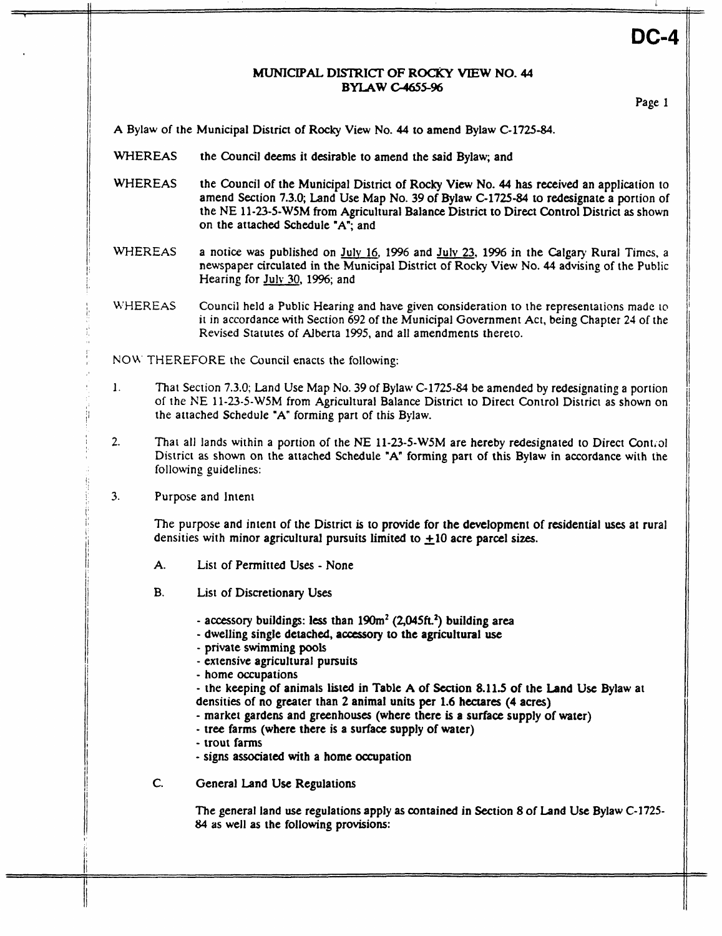# DC-4

### MUNICIPAL **DlSlRICT OF ROCKY VIEW NO- 44 BYLAW c4655-96**

Page. **1** 

**A** Bylaw of the Municipal District of **Rocky** View No. **44** to amend Bylaw C-1725-84.

- **WHEREAS** the Council deems it desirable to amend the said Bylaw; and
- **WHEREAS** the Council of the Municipal District of **Rocky View** No. **44** has received an application to amend Section **7.3.0;** Land Use Map No. 39 of Bylaw C-1725-&I to redesignate a portion of the NE **11-23-5-WSM from** Agricultural Balance District to Direct Control District **as** shown on the attached Schedule "A"; and
- WHEREAS a notice was published on **Julv** 16, 1996 and **Julv** 23, 1996 in the Calgary Rural **Times,** a newspaper circulated in the Municipal District of Rocky View No. **44** advising of the Public Hearing for **Julv** 30, **1996;** and
- WHEREAS Council held **a** Public Hearing and have given consideration to the representations made *to*  it in accordance with Section 692 of the Municipal Government Act, being Chapter 24 of the Revised Statutes of Alberta 1995, and all amendments thereto.
- NOW THEREFORE the Council enacts the following:
- 1. That Section 7.3.0; Land **Use** Map No. 39 of Bylaw **C-1725-831** be amended by redesignating **a** portion of the NE 11-23-5-W5M from Agricultural Balance District to Direct Control District as shown on the attached Schedule **"A"** forming part of this Bylaw.
- 2. That all lands within a portion of the NE 11-23-5-W5M are hereby redesignated to Direct Control District **as** shown on the attached Schedule **IA"** forming part of this Bylaw in accordance with the following guidelines:
- 3. Purpose and Intent

The purpose and intent of the District is to provide for the development of residential **uses** at rural densities with minor agricultural pursuits limited to  $\pm 10$  acre parcel sizes.

- **A.** List of Permitted **Uses**  None
- B. List of Discretionary Uses
	- accessory buildings: less than **190m\* (2,WSk2)** building area
	- dwelling single detached, **accessory to** the agricultural use
	- private **swimming pools**
	- extensive agricultural pursuits
	- home occupations

- the keeping of animals listed in Table **A** of Section **8.11.5** of the Land **Use** Bylaw at densities of no **greater** than **2** animal units per **1.6** hectares **(4** acres)

- market gardens and greenhouses (where there **is a** surface supply of water)
- tree farms (where there is a surface supply of water)
- trout farms

Įi. li

- signs associated with a home occupation
- C. General Land Use Regulations

The general land **use** regulations apply **as** contained in Section *8* of **Land** Use Bylaw **C-1725-**  *84* **as** well **as** the following provisions: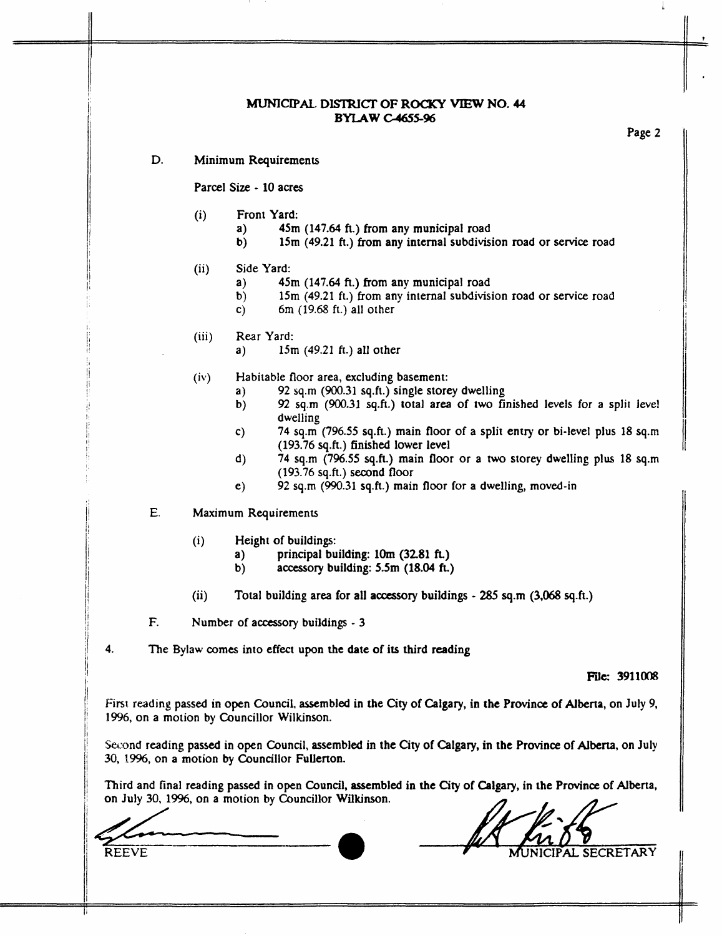# **MUNICIPAL DISTRICT OF ROCKY VIEW NO. 44 BYLAWC4655-96**

Page **2** 

II.

**I** 

i

#### D. Minimum Requirements

Parcel Size - **10** acres

- (i) Front Yard:
	- a) **45m (147.64 fi.)** from any municipal road
	- **b) 15m (49.21 fi.) from** any internal subdivision road or service road
- (ii) Side Yard:
	- a) **45m (147.64 ft.)** from any municipal road
	- **b) 15m (49.21** ft.) **from** any internal subdivision road or service road
	- **c) 6m** (19.68 ft.) all other
- (iii) Rear Yard:
	- a) **15m** (49.21 *ft.)* all other
- (iv) Habitable floor area, excluding basement:
	- **a) 92 sq.m (900.31** sq.ft.) single storey dwelling
	- **b)**  *92* **sq.m (900.31 sq.ft.)** total area of **two** finished levels for a split Jeve! dwelling
	- *c)*  **74** sq.m **(796.55** sq.ft.) main **floor** of a split entry or bi-level plus **18 sq.m (193.76 sq.ft.) finished** lower level
	- **d) 74** sq.m **(796.55 sq.fi.)** main **floor** or **a** two storey dwelling plus **18** sq.m (193.76 **sq.ft.)** second floor
	- *e)*  **92 sq.m (990.31** sq.ft.) main **floor** for a dwelling, moved-in
- E. Maximum Requirements
	- (i) Height of buildings:
		- a) principal building: **1Om (3281 ft.)**
		- b) accessory building: **5.5m (18.04 ft.)**
	- Total building area for all **aocessory** buildings *285* **sq.m (3,068** sq.ft.) (ii)
- F. Number **of accessory** buildings 3

**4.** The Bylaw comes into effect upon **the** date of its third reading

## **File: 3911008**

First **reading passed** in open Council, **assembled** in the City of Calgary, in the Province of **Alberta,** on July 9, 1996, on **a** motion by Councillor Wilkinson.

Second reading passed in open Council, assembled in the City of Calgary, in the Province of Alberta, on July **30, 1996,** on a motion **by** Councillor Fullerton.

Third and final reading passed in **open** Council, **assembled** in **the City of** Calgary, in **the** Prwince of Alberta, on July 30, 1996, on a motion by Councillor Wilkinson.

**REEVE MUNICIPAL SECRETARY**